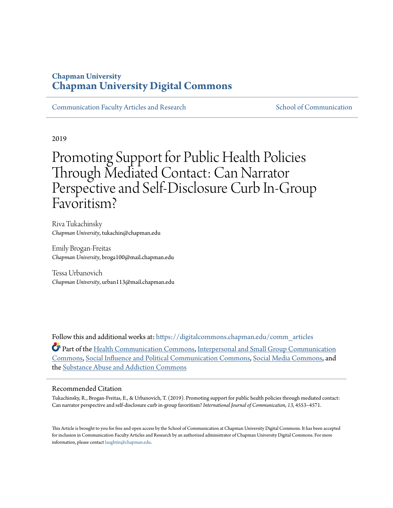## **Chapman University [Chapman University Digital Commons](https://digitalcommons.chapman.edu/?utm_source=digitalcommons.chapman.edu%2Fcomm_articles%2F65&utm_medium=PDF&utm_campaign=PDFCoverPages)**

[Communication Faculty Articles and Research](https://digitalcommons.chapman.edu/comm_articles?utm_source=digitalcommons.chapman.edu%2Fcomm_articles%2F65&utm_medium=PDF&utm_campaign=PDFCoverPages) [School of Communication](https://digitalcommons.chapman.edu/communication?utm_source=digitalcommons.chapman.edu%2Fcomm_articles%2F65&utm_medium=PDF&utm_campaign=PDFCoverPages)

2019

# Promoting Support for Public Health Policies Through Mediated Contact: Can Narrator Perspective and Self-Disclosure Curb In-Group Favoritism?

Riva Tukachinsky *Chapman University*, tukachin@chapman.edu

Emily Brogan-Freitas *Chapman University*, broga100@mail.chapman.edu

Tessa Urbanovich *Chapman University*, urban113@mail.chapman.edu

Follow this and additional works at: [https://digitalcommons.chapman.edu/comm\\_articles](https://digitalcommons.chapman.edu/comm_articles?utm_source=digitalcommons.chapman.edu%2Fcomm_articles%2F65&utm_medium=PDF&utm_campaign=PDFCoverPages) Part of the [Health Communication Commons](http://network.bepress.com/hgg/discipline/330?utm_source=digitalcommons.chapman.edu%2Fcomm_articles%2F65&utm_medium=PDF&utm_campaign=PDFCoverPages), [Interpersonal and Small Group Communication](http://network.bepress.com/hgg/discipline/332?utm_source=digitalcommons.chapman.edu%2Fcomm_articles%2F65&utm_medium=PDF&utm_campaign=PDFCoverPages) [Commons,](http://network.bepress.com/hgg/discipline/332?utm_source=digitalcommons.chapman.edu%2Fcomm_articles%2F65&utm_medium=PDF&utm_campaign=PDFCoverPages) [Social Influence and Political Communication Commons,](http://network.bepress.com/hgg/discipline/337?utm_source=digitalcommons.chapman.edu%2Fcomm_articles%2F65&utm_medium=PDF&utm_campaign=PDFCoverPages) [Social Media Commons](http://network.bepress.com/hgg/discipline/1249?utm_source=digitalcommons.chapman.edu%2Fcomm_articles%2F65&utm_medium=PDF&utm_campaign=PDFCoverPages), and the [Substance Abuse and Addiction Commons](http://network.bepress.com/hgg/discipline/710?utm_source=digitalcommons.chapman.edu%2Fcomm_articles%2F65&utm_medium=PDF&utm_campaign=PDFCoverPages)

### Recommended Citation

Tukachinsky, R., Brogan-Freitas, E., & Urbanovich, T. (2019). Promoting support for public health policies through mediated contact: Can narrator perspective and self-disclosure curb in-group favoritism? *International Journal of Communication, 13*, 4553–4571.

This Article is brought to you for free and open access by the School of Communication at Chapman University Digital Commons. It has been accepted for inclusion in Communication Faculty Articles and Research by an authorized administrator of Chapman University Digital Commons. For more information, please contact [laughtin@chapman.edu](mailto:laughtin@chapman.edu).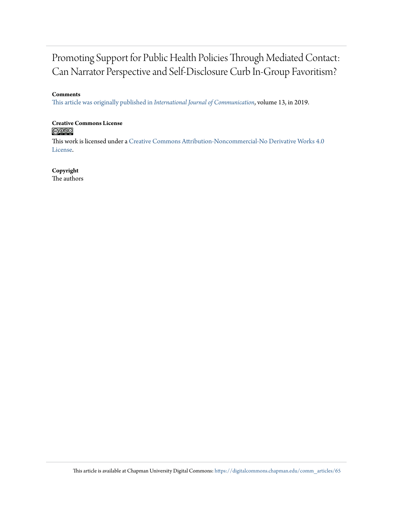# Promoting Support for Public Health Policies Through Mediated Contact: Can Narrator Perspective and Self-Disclosure Curb In-Group Favoritism?

### **Comments**

[This article was originally published in](https://ijoc.org/index.php/ijoc/article/view/12379) *International Journal of Communication*, volume 13, in 2019.

# **Creative Commons License**<br> **@ 089**

This work is licensed under a [Creative Commons Attribution-Noncommercial-No Derivative Works 4.0](https://creativecommons.org/licenses/by-nc-nd/4.0/) [License.](https://creativecommons.org/licenses/by-nc-nd/4.0/)

### **Copyright**

The authors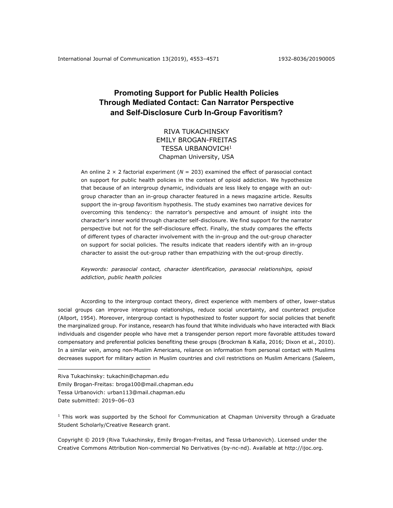## **Promoting Support for Public Health Policies Through Mediated Contact: Can Narrator Perspective and Self-Disclosure Curb In-Group Favoritism?**

## RIVA TUKACHINSKY EMILY BROGAN-FREITAS TESSA URBANOVICH<sup>1</sup> Chapman University, USA

An online  $2 \times 2$  factorial experiment ( $N = 203$ ) examined the effect of parasocial contact on support for public health policies in the context of opioid addiction. We hypothesize that because of an intergroup dynamic, individuals are less likely to engage with an outgroup character than an in-group character featured in a news magazine article. Results support the in-group favoritism hypothesis. The study examines two narrative devices for overcoming this tendency: the narrator's perspective and amount of insight into the character's inner world through character self-disclosure. We find support for the narrator perspective but not for the self-disclosure effect. Finally, the study compares the effects of different types of character involvement with the in-group and the out-group character on support for social policies. The results indicate that readers identify with an in-group character to assist the out-group rather than empathizing with the out-group directly.

*Keywords: parasocial contact, character identification, parasocial relationships, opioid addiction, public health policies*

According to the intergroup contact theory, direct experience with members of other, lower-status social groups can improve intergroup relationships, reduce social uncertainty, and counteract prejudice (Allport, 1954). Moreover, intergroup contact is hypothesized to foster support for social policies that benefit the marginalized group. For instance, research has found that White individuals who have interacted with Black individuals and cisgender people who have met a transgender person report more favorable attitudes toward compensatory and preferential policies benefiting these groups (Brockman & Kalla, 2016; Dixon et al., 2010). In a similar vein, among non-Muslim Americans, reliance on information from personal contact with Muslims decreases support for military action in Muslim countries and civil restrictions on Muslim Americans (Saleem,

- Riva Tukachinsky: tukachin@chapman.edu
- Emily Brogan-Freitas: broga100@mail.chapman.edu
- Tessa Urbanovich: urban113@mail.chapman.edu

Date submitted: 2019-06-03

 $1$  This work was supported by the School for Communication at Chapman University through a Graduate Student Scholarly/Creative Research grant.

Copyright © 2019 (Riva Tukachinsky, Emily Brogan-Freitas, and Tessa Urbanovich). Licensed under the Creative Commons Attribution Non-commercial No Derivatives (by-nc-nd). Available at http://ijoc.org.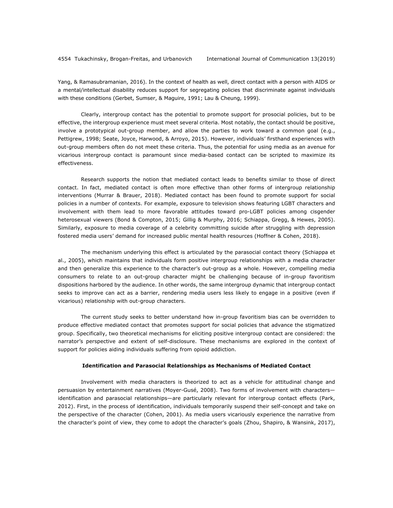Yang, & Ramasubramanian, 2016). In the context of health as well, direct contact with a person with AIDS or a mental/intellectual disability reduces support for segregating policies that discriminate against individuals with these conditions (Gerbet, Sumser, & Maguire, 1991; Lau & Cheung, 1999).

Clearly, intergroup contact has the potential to promote support for prosocial policies, but to be effective, the intergroup experience must meet several criteria. Most notably, the contact should be positive, involve a prototypical out-group member, and allow the parties to work toward a common goal (e.g., Pettigrew, 1998; Seate, Joyce, Harwood, & Arroyo, 2015). However, individuals' firsthand experiences with out-group members often do not meet these criteria. Thus, the potential for using media as an avenue for vicarious intergroup contact is paramount since media-based contact can be scripted to maximize its effectiveness.

Research supports the notion that mediated contact leads to benefits similar to those of direct contact. In fact, mediated contact is often more effective than other forms of intergroup relationship interventions (Murrar & Brauer, 2018). Mediated contact has been found to promote support for social policies in a number of contexts. For example, exposure to television shows featuring LGBT characters and involvement with them lead to more favorable attitudes toward pro-LGBT policies among cisgender heterosexual viewers (Bond & Compton, 2015; Gillig & Murphy, 2016; Schiappa, Gregg, & Hewes, 2005). Similarly, exposure to media coverage of a celebrity committing suicide after struggling with depression fostered media users' demand for increased public mental health resources (Hoffner & Cohen, 2018).

The mechanism underlying this effect is articulated by the parasocial contact theory (Schiappa et al., 2005), which maintains that individuals form positive intergroup relationships with a media character and then generalize this experience to the character's out-group as a whole. However, compelling media consumers to relate to an out-group character might be challenging because of in-group favoritism dispositions harbored by the audience. In other words, the same intergroup dynamic that intergroup contact seeks to improve can act as a barrier, rendering media users less likely to engage in a positive (even if vicarious) relationship with out-group characters.

The current study seeks to better understand how in-group favoritism bias can be overridden to produce effective mediated contact that promotes support for social policies that advance the stigmatized group. Specifically, two theoretical mechanisms for eliciting positive intergroup contact are considered: the narrator's perspective and extent of self-disclosure. These mechanisms are explored in the context of support for policies aiding individuals suffering from opioid addiction.

#### **Identification and Parasocial Relationships as Mechanisms of Mediated Contact**

Involvement with media characters is theorized to act as a vehicle for attitudinal change and persuasion by entertainment narratives (Moyer-Gusé, 2008). Two forms of involvement with characters identification and parasocial relationships—are particularly relevant for intergroup contact effects (Park, 2012). First, in the process of identification, individuals temporarily suspend their self-concept and take on the perspective of the character (Cohen, 2001). As media users vicariously experience the narrative from the character's point of view, they come to adopt the character's goals (Zhou, Shapiro, & Wansink, 2017),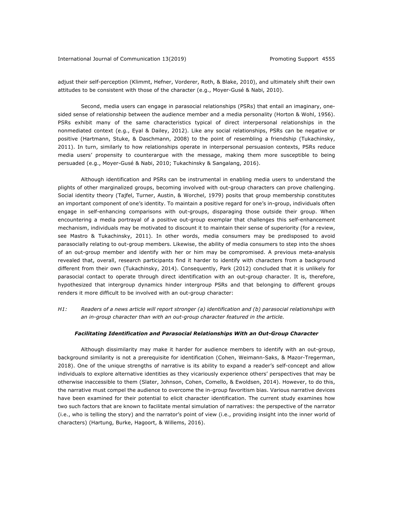adjust their self-perception (Klimmt, Hefner, Vorderer, Roth, & Blake, 2010), and ultimately shift their own attitudes to be consistent with those of the character (e.g., Moyer-Gusé & Nabi, 2010).

Second, media users can engage in parasocial relationships (PSRs) that entail an imaginary, onesided sense of relationship between the audience member and a media personality (Horton & Wohl, 1956). PSRs exhibit many of the same characteristics typical of direct interpersonal relationships in the nonmediated context (e.g., Eyal & Dailey, 2012). Like any social relationships, PSRs can be negative or positive (Hartmann, Stuke, & Daschmann, 2008) to the point of resembling a friendship (Tukachinsky, 2011). In turn, similarly to how relationships operate in interpersonal persuasion contexts, PSRs reduce media users' propensity to counterargue with the message, making them more susceptible to being persuaded (e.g., Moyer-Gusé & Nabi, 2010; Tukachinsky & Sangalang, 2016).

Although identification and PSRs can be instrumental in enabling media users to understand the plights of other marginalized groups, becoming involved with out-group characters can prove challenging. Social identity theory (Tajfel, Turner, Austin, & Worchel, 1979) posits that group membership constitutes an important component of one's identity. To maintain a positive regard for one's in-group, individuals often engage in self-enhancing comparisons with out-groups, disparaging those outside their group. When encountering a media portrayal of a positive out-group exemplar that challenges this self-enhancement mechanism, individuals may be motivated to discount it to maintain their sense of superiority (for a review, see Mastro & Tukachinsky, 2011). In other words, media consumers may be predisposed to avoid parasocially relating to out-group members. Likewise, the ability of media consumers to step into the shoes of an out-group member and identify with her or him may be compromised. A previous meta-analysis revealed that, overall, research participants find it harder to identify with characters from a background different from their own (Tukachinsky, 2014). Consequently, Park (2012) concluded that it is unlikely for parasocial contact to operate through direct identification with an out-group character. It is, therefore, hypothesized that intergroup dynamics hinder intergroup PSRs and that belonging to different groups renders it more difficult to be involved with an out-group character:

*H1: Readers of a news article will report stronger (a) identification and (b) parasocial relationships with an in-group character than with an out-group character featured in the article.*

#### *Facilitating Identification and Parasocial Relationships With an Out-Group Character*

Although dissimilarity may make it harder for audience members to identify with an out-group, background similarity is not a prerequisite for identification (Cohen, Weimann-Saks, & Mazor-Tregerman, 2018). One of the unique strengths of narrative is its ability to expand a reader's self-concept and allow individuals to explore alternative identities as they vicariously experience others' perspectives that may be otherwise inaccessible to them (Slater, Johnson, Cohen, Comello, & Ewoldsen, 2014). However, to do this, the narrative must compel the audience to overcome the in-group favoritism bias. Various narrative devices have been examined for their potential to elicit character identification. The current study examines how two such factors that are known to facilitate mental simulation of narratives: the perspective of the narrator (i.e., who is telling the story) and the narrator's point of view (i.e., providing insight into the inner world of characters) (Hartung, Burke, Hagoort, & Willems, 2016).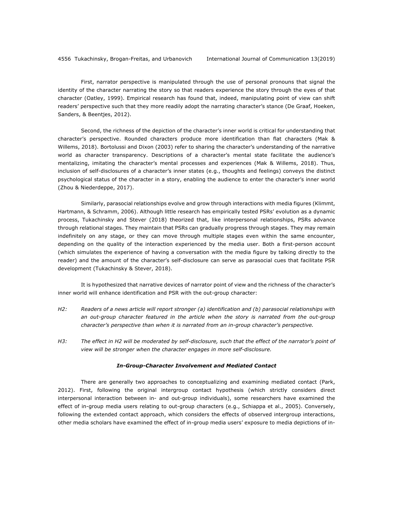First, narrator perspective is manipulated through the use of personal pronouns that signal the identity of the character narrating the story so that readers experience the story through the eyes of that character (Oatley, 1999). Empirical research has found that, indeed, manipulating point of view can shift readers' perspective such that they more readily adopt the narrating character's stance (De Graaf, Hoeken, Sanders, & Beentjes, 2012).

Second, the richness of the depiction of the character's inner world is critical for understanding that character's perspective. Rounded characters produce more identification than flat characters (Mak & Willems, 2018). Bortolussi and Dixon (2003) refer to sharing the character's understanding of the narrative world as character transparency. Descriptions of a character's mental state facilitate the audience's mentalizing, imitating the character's mental processes and experiences (Mak & Willems, 2018). Thus, inclusion of self-disclosures of a character's inner states (e.g., thoughts and feelings) conveys the distinct psychological status of the character in a story, enabling the audience to enter the character's inner world (Zhou & Niederdeppe, 2017).

Similarly, parasocial relationships evolve and grow through interactions with media figures (Klimmt, Hartmann, & Schramm, 2006). Although little research has empirically tested PSRs' evolution as a dynamic process, Tukachinsky and Stever (2018) theorized that, like interpersonal relationships, PSRs advance through relational stages. They maintain that PSRs can gradually progress through stages. They may remain indefinitely on any stage, or they can move through multiple stages even within the same encounter, depending on the quality of the interaction experienced by the media user. Both a first-person account (which simulates the experience of having a conversation with the media figure by talking directly to the reader) and the amount of the character's self-disclosure can serve as parasocial cues that facilitate PSR development (Tukachinsky & Stever, 2018).

It is hypothesized that narrative devices of narrator point of view and the richness of the character's inner world will enhance identification and PSR with the out-group character:

- *H2: Readers of a news article will report stronger (a) identification and (b) parasocial relationships with*  an out-group character featured in the article when the story is narrated from the out-group *character's perspective than when it is narrated from an in-group character's perspective.*
- *H3: The effect in H2 will be moderated by self-disclosure, such that the effect of the narrator's point of view will be stronger when the character engages in more self-disclosure.*

#### *In-Group-Character Involvement and Mediated Contact*

There are generally two approaches to conceptualizing and examining mediated contact (Park, 2012). First, following the original intergroup contact hypothesis (which strictly considers direct interpersonal interaction between in- and out-group individuals), some researchers have examined the effect of in-group media users relating to out-group characters (e.g., Schiappa et al., 2005). Conversely, following the extended contact approach, which considers the effects of observed intergroup interactions, other media scholars have examined the effect of in-group media users' exposure to media depictions of in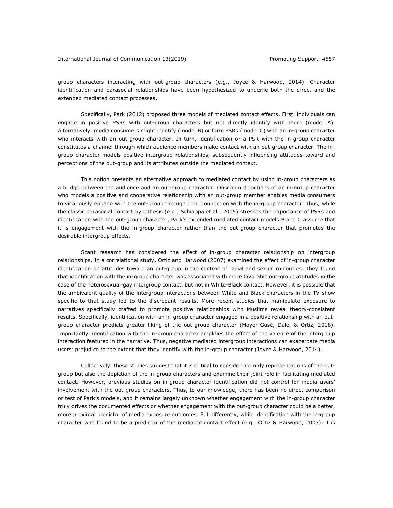group characters interacting with out-group characters (e.g., Joyce & Harwood, 2014). Character identification and parasocial relationships have been hypothesized to underlie both the direct and the extended mediated contact processes.

Specifically, Park (2012) proposed three models of mediated contact effects. First, individuals can engage in positive PSRs with out-group characters but not directly identify with them (model A). Alternatively, media consumers might identify (model B) or form PSRs (model C) with an in-group character who interacts with an out-group character. In turn, identification or a PSR with the in-group character constitutes a channel through which audience members make contact with an out-group character. The ingroup character models positive intergroup relationships, subsequently influencing attitudes toward and perceptions of the out-group and its attributes outside the mediated context.

This notion presents an alternative approach to mediated contact by using in-group characters as a bridge between the audience and an out-group character. Onscreen depictions of an in-group character who models a positive and cooperative relationship with an out-group member enables media consumers to vicariously engage with the out-group through their connection with the in-group character. Thus, while the classic parasocial contact hypothesis (e.g., Schiappa et al., 2005) stresses the importance of PSRs and identification with the out-group character, Park's extended mediated contact models B and C assume that it is engagement with the in-group character rather than the out-group character that promotes the desirable intergroup effects.

Scant research has considered the effect of in-group character relationship on intergroup relationships. In a correlational study, Ortiz and Harwood (2007) examined the effect of in-group character identification on attitudes toward an out-group in the context of racial and sexual minorities. They found that identification with the in-group character was associated with more favorable out-group attitudes in the case of the heterosexual-gay intergroup contact, but not in White-Black contact. However, it is possible that the ambivalent quality of the intergroup interactions between White and Black characters in the TV show specific to that study led to the discrepant results. More recent studies that manipulate exposure to narratives specifically crafted to promote positive relationships with Muslims reveal theory-consistent results. Specifically, identification with an in-group character engaged in a positive relationship with an outgroup character predicts greater liking of the out-group character (Moyer-Gusé, Dale, & Ortiz, 2018). Importantly, identification with the in-group character amplifies the effect of the valence of the intergroup interaction featured in the narrative. Thus, negative mediated intergroup interactions can exacerbate media users' prejudice to the extent that they identify with the in-group character (Joyce & Harwood, 2014).

Collectively, these studies suggest that it is critical to consider not only representations of the outgroup but also the depiction of the in-group characters and examine their joint role in facilitating mediated contact. However, previous studies on in-group character identification did not control for media users' involvement with the out-group characters. Thus, to our knowledge, there has been no direct comparison or test of Park's models, and it remains largely unknown whether engagement with the in-group character truly drives the documented effects or whether engagement with the out-group character could be a better, more proximal predictor of media exposure outcomes. Put differently, while identification with the in-group character was found to be a predictor of the mediated contact effect (e.g., Ortiz & Harwood, 2007), it is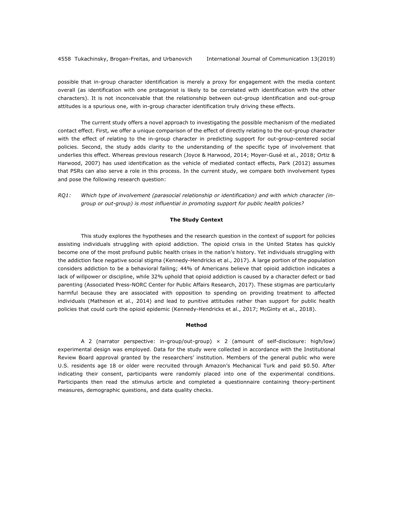possible that in-group character identification is merely a proxy for engagement with the media content overall (as identification with one protagonist is likely to be correlated with identification with the other characters). It is not inconceivable that the relationship between out-group identification and out-group attitudes is a spurious one, with in-group character identification truly driving these effects.

The current study offers a novel approach to investigating the possible mechanism of the mediated contact effect. First, we offer a unique comparison of the effect of directly relating to the out-group character with the effect of relating to the in-group character in predicting support for out-group-centered social policies. Second, the study adds clarity to the understanding of the specific type of involvement that underlies this effect. Whereas previous research (Joyce & Harwood, 2014; Moyer-Gusé et al., 2018; Ortiz & Harwood, 2007) has used identification as the vehicle of mediated contact effects, Park (2012) assumes that PSRs can also serve a role in this process. In the current study, we compare both involvement types and pose the following research question:

*RQ1: Which type of involvement (parasocial relationship or identification) and with which character (ingroup or out-group) is most influential in promoting support for public health policies?*

#### **The Study Context**

This study explores the hypotheses and the research question in the context of support for policies assisting individuals struggling with opioid addiction. The opioid crisis in the United States has quickly become one of the most profound public health crises in the nation's history. Yet individuals struggling with the addiction face negative social stigma (Kennedy-Hendricks et al., 2017). A large portion of the population considers addiction to be a behavioral failing; 44% of Americans believe that opioid addiction indicates a lack of willpower or discipline, while 32% uphold that opioid addiction is caused by a character defect or bad parenting (Associated Press-NORC Center for Public Affairs Research, 2017). These stigmas are particularly harmful because they are associated with opposition to spending on providing treatment to affected individuals (Matheson et al., 2014) and lead to punitive attitudes rather than support for public health policies that could curb the opioid epidemic (Kennedy-Hendricks et al., 2017; McGinty et al., 2018).

#### **Method**

A 2 (narrator perspective: in-group/out-group)  $\times$  2 (amount of self-disclosure: high/low) experimental design was employed. Data for the study were collected in accordance with the Institutional Review Board approval granted by the researchers' institution. Members of the general public who were U.S. residents age 18 or older were recruited through Amazon's Mechanical Turk and paid \$0.50. After indicating their consent, participants were randomly placed into one of the experimental conditions. Participants then read the stimulus article and completed a questionnaire containing theory-pertinent measures, demographic questions, and data quality checks.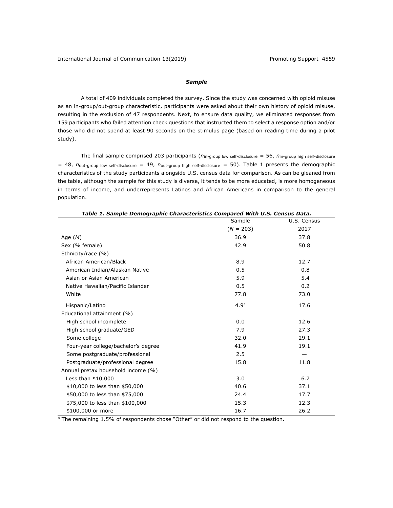#### *Sample*

A total of 409 individuals completed the survey. Since the study was concerned with opioid misuse as an in-group/out-group characteristic, participants were asked about their own history of opioid misuse, resulting in the exclusion of 47 respondents. Next, to ensure data quality, we eliminated responses from 159 participants who failed attention check questions that instructed them to select a response option and/or those who did not spend at least 90 seconds on the stimulus page (based on reading time during a pilot study).

The final sample comprised 203 participants (*n*in-group low self-disclosure = 56, *n*in-group high self-disclosure = 48, *n*out-group low self-disclosure = 49, *n*out-group high self-disclosure = 50). Table 1 presents the demographic characteristics of the study participants alongside U.S. census data for comparison. As can be gleaned from the table, although the sample for this study is diverse, it tends to be more educated, is more homogeneous in terms of income, and underrepresents Latinos and African Americans in comparison to the general population.

|                                     | Sample           | U.S. Census |
|-------------------------------------|------------------|-------------|
|                                     | $(N = 203)$      | 2017        |
| Age $(M)$                           | 36.9             | 37.8        |
| Sex (% female)                      | 42.9             | 50.8        |
| Ethnicity/race (%)                  |                  |             |
| African American/Black              | 8.9              | 12.7        |
| American Indian/Alaskan Native      | 0.5              | 0.8         |
| Asian or Asian American             | 5.9              | 5.4         |
| Native Hawaiian/Pacific Islander    | 0.5              | 0.2         |
| White                               | 77.8             | 73.0        |
| Hispanic/Latino                     | 4.9 <sup>a</sup> | 17.6        |
| Educational attainment (%)          |                  |             |
| High school incomplete              | 0.0              | 12.6        |
| High school graduate/GED            | 7.9              | 27.3        |
| Some college                        | 32.0             | 29.1        |
| Four-year college/bachelor's degree | 41.9             | 19.1        |
| Some postgraduate/professional      | 2.5              |             |
| Postgraduate/professional degree    | 15.8             | 11.8        |
| Annual pretax household income (%)  |                  |             |
| Less than \$10,000                  | 3.0              | 6.7         |
| \$10,000 to less than \$50,000      | 40.6             | 37.1        |
| \$50,000 to less than \$75,000      | 24.4             | 17.7        |
| \$75,000 to less than \$100,000     | 15.3             | 12.3        |
| \$100,000 or more                   | 16.7             | 26.2        |

| Table 1. Sample Demographic Characteristics Compared With U.S. Census Data. |
|-----------------------------------------------------------------------------|
|-----------------------------------------------------------------------------|

<sup>a</sup> The remaining 1.5% of respondents chose "Other" or did not respond to the question.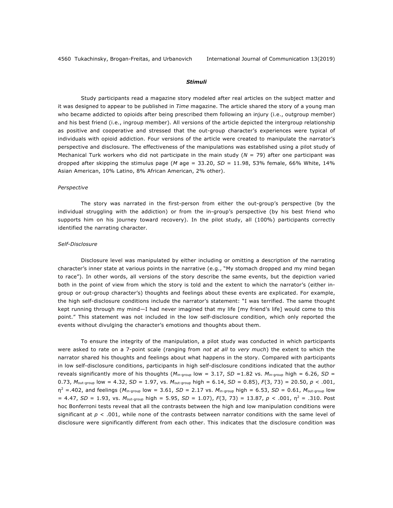#### *Stimuli*

Study participants read a magazine story modeled after real articles on the subject matter and it was designed to appear to be published in *Time* magazine. The article shared the story of a young man who became addicted to opioids after being prescribed them following an injury (i.e., outgroup member) and his best friend (i.e., ingroup member). All versions of the article depicted the intergroup relationship as positive and cooperative and stressed that the out-group character's experiences were typical of individuals with opioid addiction. Four versions of the article were created to manipulate the narrator's perspective and disclosure. The effectiveness of the manipulations was established using a pilot study of Mechanical Turk workers who did not participate in the main study (*N* = 79) after one participant was dropped after skipping the stimulus page (*M* age = 33.20, *SD* = 11.98, 53% female, 66% White, 14% Asian American, 10% Latino, 8% African American, 2% other).

#### *Perspective*

The story was narrated in the first-person from either the out-group's perspective (by the individual struggling with the addiction) or from the in-group's perspective (by his best friend who supports him on his journey toward recovery). In the pilot study, all (100%) participants correctly identified the narrating character.

#### *Self-Disclosure*

Disclosure level was manipulated by either including or omitting a description of the narrating character's inner state at various points in the narrative (e.g., "My stomach dropped and my mind began to race"). In other words, all versions of the story describe the same events, but the depiction varied both in the point of view from which the story is told and the extent to which the narrator's (either ingroup or out-group character's) thoughts and feelings about these events are explicated. For example, the high self-disclosure conditions include the narrator's statement: "I was terrified. The same thought kept running through my mind—I had never imagined that my life [my friend's life] would come to this point." This statement was not included in the low self-disclosure condition, which only reported the events without divulging the character's emotions and thoughts about them.

To ensure the integrity of the manipulation, a pilot study was conducted in which participants were asked to rate on a 7-point scale (ranging from *not at all* to *very much*) the extent to which the narrator shared his thoughts and feelings about what happens in the story. Compared with participants in low self-disclosure conditions, participants in high self-disclosure conditions indicated that the author reveals significantly more of his thoughts ( $M_{\text{in-group}}$  low = 3.17, *SD* = 1.82 vs.  $M_{\text{in-group}}$  high = 6.26, *SD* = 0.73, *M*out-group low = 4.32, *SD* = 1.97, vs. *M*out-group high = 6.14, *SD* = 0.85), *F*(3, 73) = 20.50, *p <* .001, η<sup>2</sup> =.402, and feelings (*M*in-group low = 3.61, *SD* = 2.17 vs. *M*in-group high = 6.53, *SD* = 0.61, *M*out-group low = 4.47, *SD* = 1.93, vs. *M*out-group high = 5.95, *SD* = 1.07), *F*(3, 73) = 13.87, *p <* .001, η<sup>2</sup> = .310. Post hoc Bonferroni tests reveal that all the contrasts between the high and low manipulation conditions were significant at *p <* .001, while none of the contrasts between narrator conditions with the same level of disclosure were significantly different from each other. This indicates that the disclosure condition was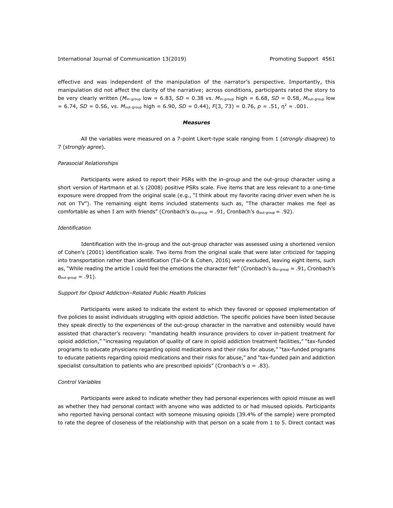effective and was independent of the manipulation of the narrator's perspective. Importantly, this manipulation did not affect the clarity of the narrative; across conditions, participants rated the story to be very clearly written (*M*in-group low = 6.83, *SD* = 0.38 vs. *M*in-group high = 6.68, *SD* = 0.58, *M*out-group low  $= 6.74$ , *SD*  $= 0.56$ , vs. *M*<sub>out-group high  $= 6.90$ , *SD*  $= 0.44$ ),  $F(3, 73) = 0.76$ ,  $p = .51$ ,  $p^2 = .001$ .</sub>

#### *Measures*

All the variables were measured on a 7-point Likert-type scale ranging from 1 (*strongly disagree*) to 7 (*strongly agree*).

#### *Parasocial Relationships*

Participants were asked to report their PSRs with the in-group and the out-group character using a short version of Hartmann et al.'s (2008) positive PSRs scale. Five items that are less relevant to a one-time exposure were dropped from the original scale (e.g., "I think about my favorite racing driver even when he is not on TV"). The remaining eight items included statements such as, "The character makes me feel as comfortable as when I am with friends" (Cronbach's α<sub>in-group</sub> = .91, Cronbach's α<sub>out-group</sub> = .92).

#### *Identification*

Identification with the in-group and the out-group character was assessed using a shortened version of Cohen's (2001) identification scale. Two items from the original scale that were later criticized for tapping into transportation rather than identification (Tal-Or & Cohen, 2016) were excluded, leaving eight items, such as, "While reading the article I could feel the emotions the character felt" (Cronbach's αin-group *=* .91, Cronbach's αout-group *=* .91).

#### *Support for Opioid Addiction–Related Public Health Policies*

Participants were asked to indicate the extent to which they favored or opposed implementation of five policies to assist individuals struggling with opioid addiction. The specific policies have been listed because they speak directly to the experiences of the out-group character in the narrative and ostensibly would have assisted that character's recovery: "mandating health insurance providers to cover in-patient treatment for opioid addiction," "increasing regulation of quality of care in opioid addiction treatment facilities," "tax-funded programs to educate physicians regarding opioid medications and their risks for abuse," "tax-funded programs to educate patients regarding opioid medications and their risks for abuse," and "tax-funded pain and addiction specialist consultation to patients who are prescribed opioids" (Cronbach's α = .83).

#### *Control Variables*

Participants were asked to indicate whether they had personal experiences with opioid misuse as well as whether they had personal contact with anyone who was addicted to or had misused opioids. Participants who reported having personal contact with someone misusing opioids (39.4% of the sample) were prompted to rate the degree of closeness of the relationship with that person on a scale from 1 to 5. Direct contact was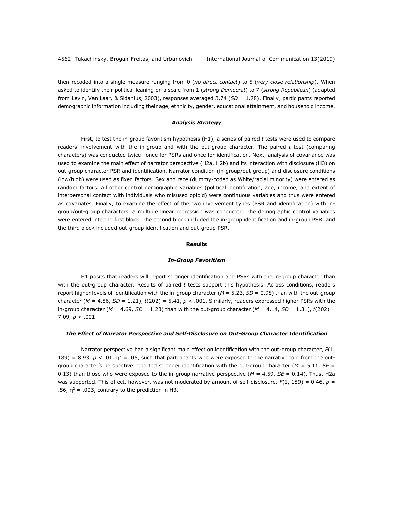then recoded into a single measure ranging from 0 (*no direct contact*) to 5 (*very close relationship*). When asked to identify their political leaning on a scale from 1 (*strong Democrat*) to 7 (*strong Republican*) (adapted from Levin, Van Laar, & Sidanius, 2003), responses averaged 3.74 (*SD* = 1.78). Finally, participants reported demographic information including their age, ethnicity, gender, educational attainment, and household income.

#### *Analysis Strategy*

First, to test the in-group favoritism hypothesis (H1), a series of paired *t* tests were used to compare readers' involvement with the in-group and with the out-group character. The paired *t* test (comparing characters) was conducted twice—once for PSRs and once for identification. Next, analysis of covariance was used to examine the main effect of narrator perspective (H2a, H2b) and its interaction with disclosure (H3) on out-group character PSR and identification. Narrator condition (in-group/out-group) and disclosure conditions (low/high) were used as fixed factors. Sex and race (dummy-coded as White/racial minority) were entered as random factors. All other control demographic variables (political identification, age, income, and extent of interpersonal contact with individuals who misused opioid) were continuous variables and thus were entered as covariates. Finally, to examine the effect of the two involvement types (PSR and identification) with ingroup/out-group characters, a multiple linear regression was conducted. The demographic control variables were entered into the first block. The second block included the in-group identification and in-group PSR, and the third block included out-group identification and out-group PSR.

#### **Results**

#### *In-Group Favoritism*

H1 posits that readers will report stronger identification and PSRs with the in-group character than with the out-group character. Results of paired *t* tests support this hypothesis. Across conditions, readers report higher levels of identification with the in-group character (*M* = 5.23, *SD* = 0.98) than with the out-group character (*M* = 4.86, *SD* = 1.21), *t*(202) = 5.41, *p <* .001. Similarly, readers expressed higher PSRs with the in-group character ( $M = 4.69$ ,  $SD = 1.23$ ) than with the out-group character ( $M = 4.14$ ,  $SD = 1.31$ ),  $t(202) =$ 7.09, *p <* .001.

#### *The Effect of Narrator Perspective and Self-Disclosure on Out-Group Character Identification*

Narrator perspective had a significant main effect on identification with the out-group character, *F*(1, 189) = 8.93,  $p < .01$ ,  $\eta^2 = .05$ , such that participants who were exposed to the narrative told from the outgroup character's perspective reported stronger identification with the out-group character (*M* = 5.11, *SE* = 0.13) than those who were exposed to the in-group narrative perspective ( $M = 4.59$ ,  $SE = 0.14$ ). Thus, H2a was supported. This effect, however, was not moderated by amount of self-disclosure,  $F(1, 189) = 0.46$ ,  $p =$ .56,  $\eta^2$  = .003, contrary to the prediction in H3.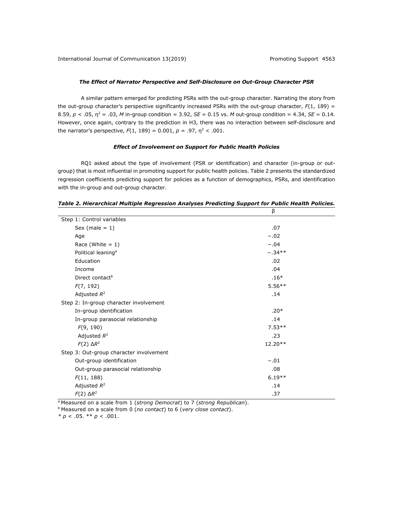#### *The Effect of Narrator Perspective and Self-Disclosure on Out-Group Character PSR*

A similar pattern emerged for predicting PSRs with the out-group character. Narrating the story from the out-group character's perspective significantly increased PSRs with the out-group character, *F*(1, 189) = 8.59,  $p < .05$ ,  $p^2 = .03$ , *M* in-group condition = 3.92, *SE* = 0.15 vs. *M* out-group condition = 4.34, *SE* = 0.14. However, once again, contrary to the prediction in H3, there was no interaction between self-disclosure and the narrator's perspective,  $F(1, 189) = 0.001$ ,  $p = .97$ ,  $p^2 < .001$ .

#### *Effect of Involvement on Support for Public Health Policies*

RQ1 asked about the type of involvement (PSR or identification) and character (in-group or outgroup) that is most influential in promoting support for public health policies. Table 2 presents the standardized regression coefficients predicting support for policies as a function of demographics, PSRs, and identification with the in-group and out-group character.

|                                         | β        |  |
|-----------------------------------------|----------|--|
| Step 1: Control variables               |          |  |
| Sex (male $= 1$ )                       | .07      |  |
| Age                                     | $-.02$   |  |
| Race (White $= 1$ )                     | $-.04$   |  |
| Political leaning <sup>a</sup>          | $-.34**$ |  |
| Education                               | .02      |  |
| Income                                  | .04      |  |
| Direct contact <sup>b</sup>             | $.16*$   |  |
| F(7, 192)                               | $5.56**$ |  |
| Adjusted $R^2$                          | .14      |  |
| Step 2: In-group character involvement  |          |  |
| In-group identification                 | $.20*$   |  |
| In-group parasocial relationship        | .14      |  |
| F(9, 190)                               | $7.53**$ |  |
| Adjusted $R^2$                          | .23      |  |
| $F(2) \Delta R^2$                       | 12.20**  |  |
| Step 3: Out-group character involvement |          |  |
| Out-group identification                | $-.01$   |  |
| Out-group parasocial relationship       | .08      |  |
| F(11, 188)                              | $6.19**$ |  |
| Adjusted $R^2$                          | .14      |  |
| $F(2) \Delta R^2$                       | .37      |  |

*Table 2. Hierarchical Multiple Regression Analyses Predicting Support for Public Health Policies.*

a Measured on a scale from 1 (*strong Democrat*) to 7 (*strong Republican*).

b Measured on a scale from 0 (*no contact*) to 6 (*very close contact*).

*\* p* < .05. \*\* *p* < .001.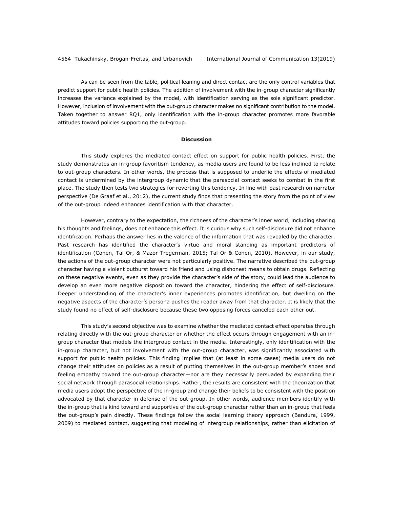As can be seen from the table, political leaning and direct contact are the only control variables that predict support for public health policies. The addition of involvement with the in-group character significantly increases the variance explained by the model, with identification serving as the sole significant predictor. However, inclusion of involvement with the out-group character makes no significant contribution to the model. Taken together to answer RQ1, only identification with the in-group character promotes more favorable attitudes toward policies supporting the out-group.

#### **Discussion**

This study explores the mediated contact effect on support for public health policies. First, the study demonstrates an in-group favoritism tendency, as media users are found to be less inclined to relate to out-group characters. In other words, the process that is supposed to underlie the effects of mediated contact is undermined by the intergroup dynamic that the parasocial contact seeks to combat in the first place. The study then tests two strategies for reverting this tendency. In line with past research on narrator perspective (De Graaf et al., 2012), the current study finds that presenting the story from the point of view of the out-group indeed enhances identification with that character.

However, contrary to the expectation, the richness of the character's inner world, including sharing his thoughts and feelings, does not enhance this effect. It is curious why such self-disclosure did not enhance identification. Perhaps the answer lies in the valence of the information that was revealed by the character. Past research has identified the character's virtue and moral standing as important predictors of identification (Cohen, Tal-Or, & Mazor-Tregerman, 2015; Tal-Or & Cohen, 2010). However, in our study, the actions of the out-group character were not particularly positive. The narrative described the out-group character having a violent outburst toward his friend and using dishonest means to obtain drugs. Reflecting on these negative events, even as they provide the character's side of the story, could lead the audience to develop an even more negative disposition toward the character, hindering the effect of self-disclosure. Deeper understanding of the character's inner experiences promotes identification, but dwelling on the negative aspects of the character's persona pushes the reader away from that character. It is likely that the study found no effect of self-disclosure because these two opposing forces canceled each other out.

This study's second objective was to examine whether the mediated contact effect operates through relating directly with the out-group character or whether the effect occurs through engagement with an ingroup character that models the intergroup contact in the media. Interestingly, only identification with the in-group character, but not involvement with the out-group character, was significantly associated with support for public health policies. This finding implies that (at least in some cases) media users do not change their attitudes on policies as a result of putting themselves in the out-group member's shoes and feeling empathy toward the out-group character—nor are they necessarily persuaded by expanding their social network through parasocial relationships. Rather, the results are consistent with the theorization that media users adopt the perspective of the in-group and change their beliefs to be consistent with the position advocated by that character in defense of the out-group. In other words, audience members identify with the in-group that is kind toward and supportive of the out-group character rather than an in-group that feels the out-group's pain directly. These findings follow the social learning theory approach (Bandura, 1999, 2009) to mediated contact, suggesting that modeling of intergroup relationships, rather than elicitation of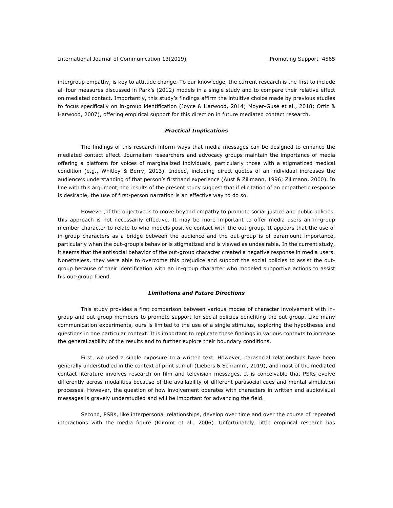intergroup empathy, is key to attitude change. To our knowledge, the current research is the first to include all four measures discussed in Park's (2012) models in a single study and to compare their relative effect on mediated contact. Importantly, this study's findings affirm the intuitive choice made by previous studies to focus specifically on in-group identification (Joyce & Harwood, 2014; Moyer-Gusé et al., 2018; Ortiz & Harwood, 2007), offering empirical support for this direction in future mediated contact research.

#### *Practical Implications*

The findings of this research inform ways that media messages can be designed to enhance the mediated contact effect. Journalism researchers and advocacy groups maintain the importance of media offering a platform for voices of marginalized individuals, particularly those with a stigmatized medical condition (e.g., Whitley & Berry, 2013). Indeed, including direct quotes of an individual increases the audience's understanding of that person's firsthand experience (Aust & Zillmann, 1996; Zillmann, 2000). In line with this argument, the results of the present study suggest that if elicitation of an empathetic response is desirable, the use of first-person narration is an effective way to do so.

However, if the objective is to move beyond empathy to promote social justice and public policies, this approach is not necessarily effective. It may be more important to offer media users an in-group member character to relate to who models positive contact with the out-group. It appears that the use of in-group characters as a bridge between the audience and the out-group is of paramount importance, particularly when the out-group's behavior is stigmatized and is viewed as undesirable. In the current study, it seems that the antisocial behavior of the out-group character created a negative response in media users. Nonetheless, they were able to overcome this prejudice and support the social policies to assist the outgroup because of their identification with an in-group character who modeled supportive actions to assist his out-group friend.

#### *Limitations and Future Directions*

This study provides a first comparison between various modes of character involvement with ingroup and out-group members to promote support for social policies benefiting the out-group. Like many communication experiments, ours is limited to the use of a single stimulus, exploring the hypotheses and questions in one particular context. It is important to replicate these findings in various contexts to increase the generalizability of the results and to further explore their boundary conditions.

First, we used a single exposure to a written text. However, parasocial relationships have been generally understudied in the context of print stimuli (Liebers & Schramm, 2019), and most of the mediated contact literature involves research on film and television messages. It is conceivable that PSRs evolve differently across modalities because of the availability of different parasocial cues and mental simulation processes. However, the question of how involvement operates with characters in written and audiovisual messages is gravely understudied and will be important for advancing the field.

Second, PSRs, like interpersonal relationships, develop over time and over the course of repeated interactions with the media figure (Klimmt et al., 2006). Unfortunately, little empirical research has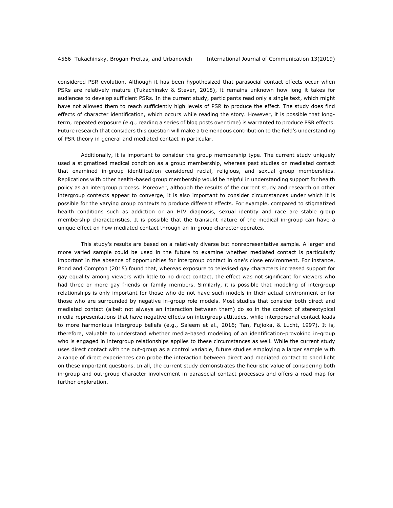considered PSR evolution. Although it has been hypothesized that parasocial contact effects occur when PSRs are relatively mature (Tukachinsky & Stever, 2018), it remains unknown how long it takes for audiences to develop sufficient PSRs. In the current study, participants read only a single text, which might have not allowed them to reach sufficiently high levels of PSR to produce the effect. The study does find effects of character identification, which occurs while reading the story. However, it is possible that longterm, repeated exposure (e.g., reading a series of blog posts over time) is warranted to produce PSR effects. Future research that considers this question will make a tremendous contribution to the field's understanding of PSR theory in general and mediated contact in particular.

Additionally, it is important to consider the group membership type. The current study uniquely used a stigmatized medical condition as a group membership, whereas past studies on mediated contact that examined in-group identification considered racial, religious, and sexual group memberships. Replications with other health-based group membership would be helpful in understanding support for health policy as an intergroup process. Moreover, although the results of the current study and research on other intergroup contexts appear to converge, it is also important to consider circumstances under which it is possible for the varying group contexts to produce different effects. For example, compared to stigmatized health conditions such as addiction or an HIV diagnosis, sexual identity and race are stable group membership characteristics. It is possible that the transient nature of the medical in-group can have a unique effect on how mediated contact through an in-group character operates.

This study's results are based on a relatively diverse but nonrepresentative sample. A larger and more varied sample could be used in the future to examine whether mediated contact is particularly important in the absence of opportunities for intergroup contact in one's close environment. For instance, Bond and Compton (2015) found that, whereas exposure to televised gay characters increased support for gay equality among viewers with little to no direct contact, the effect was not significant for viewers who had three or more gay friends or family members. Similarly, it is possible that modeling of intergroup relationships is only important for those who do not have such models in their actual environment or for those who are surrounded by negative in-group role models. Most studies that consider both direct and mediated contact (albeit not always an interaction between them) do so in the context of stereotypical media representations that have negative effects on intergroup attitudes, while interpersonal contact leads to more harmonious intergroup beliefs (e.g., Saleem et al., 2016; Tan, Fujioka, & Lucht, 1997). It is, therefore, valuable to understand whether media-based modeling of an identification-provoking in-group who is engaged in intergroup relationships applies to these circumstances as well. While the current study uses direct contact with the out-group as a control variable, future studies employing a larger sample with a range of direct experiences can probe the interaction between direct and mediated contact to shed light on these important questions. In all, the current study demonstrates the heuristic value of considering both in-group and out-group character involvement in parasocial contact processes and offers a road map for further exploration.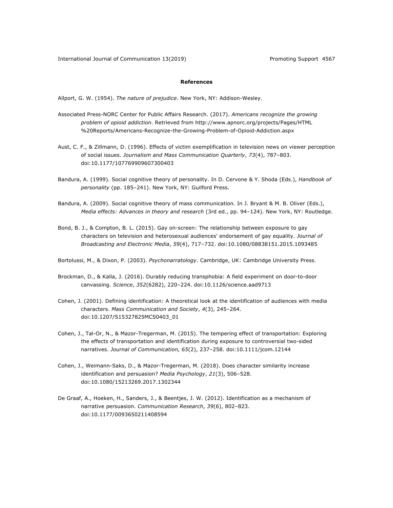#### **References**

Allport, G. W. (1954). *The nature of prejudice*. New York, NY: Addison-Wesley.

- Associated Press-NORC Center for Public Affairs Research. (2017). *Americans recognize the growing problem of opioid addiction*. Retrieved from http://www.apnorc.org/projects/Pages/HTML %20Reports/Americans-Recognize-the-Growing-Problem-of-Opioid-Addiction.aspx
- Aust, C. F., & Zillmann, D. (1996). Effects of victim exemplification in television news on viewer perception of social issues. *Journalism and Mass Communication Quarterly*, *73*(4), 787–803. doi:10.1177/107769909607300403
- Bandura, A. (1999). Social cognitive theory of personality. In D. Cervone & Y. Shoda (Eds.), *Handbook of*  personality (pp. 185-241). New York, NY: Guilford Press.
- Bandura, A. (2009). Social cognitive theory of mass communication. In J. Bryant & M. B. Oliver (Eds.), *Media effects: Advances in theory and research* (3rd ed., pp. 94–124). New York, NY: Routledge.
- Bond, B. J., & Compton, B. L. (2015). Gay on-screen: The relationship between exposure to gay characters on television and heterosexual audiences' endorsement of gay equality. *Journal of Broadcasting and Electronic Media*, *59*(4), 717–732. doi:10.1080/08838151.2015.1093485

Bortolussi, M., & Dixon, P. (2003). *Psychonarratology*. Cambridge, UK: Cambridge University Press.

- Brockman, D., & Kalla, J. (2016). Durably reducing transphobia: A field experiment on door-to-door canvassing. *Science*, *352*(6282), 220–224. doi:10.1126/science.aad9713
- Cohen, J. (2001). Defining identification: A theoretical look at the identification of audiences with media characters. *Mass Communication and Society*, *4*(3), 245–264. doi:10.1207/S15327825MCS0403\_01
- Cohen, J., Tal-Or, N., & Mazor-Tregerman, M. (2015). The tempering effect of transportation: Exploring the effects of transportation and identification during exposure to controversial two-sided narratives. *Journal of Communication, 65*(2), 237–258. doi:10.1111/jcom.12144
- Cohen, J., Weimann-Saks, D., & Mazor-Tregerman, M. (2018). Does character similarity increase identification and persuasion? *Media Psychology*, *21*(3), 506–528. doi:10.1080/15213269.2017.1302344
- De Graaf, A., Hoeken, H., Sanders, J., & Beentjes, J. W. (2012). Identification as a mechanism of narrative persuasion. *Communication Research*, *39*(6), 802–823. doi:10.1177/0093650211408594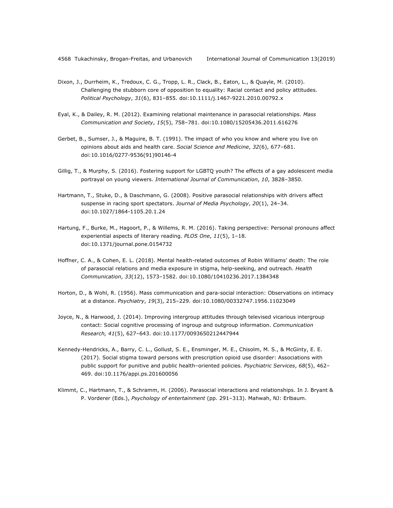- Dixon, J., Durrheim, K., Tredoux, C. G., Tropp, L. R., Clack, B., Eaton, L., & Quayle, M. (2010). Challenging the stubborn core of opposition to equality: Racial contact and policy attitudes. *Political Psychology*, *31*(6), 831–855. doi:10.1111/j.1467-9221.2010.00792.x
- Eyal, K., & Dailey, R. M. (2012). Examining relational maintenance in parasocial relationships. *Mass Communication and Society*, *15*(5), 758–781. doi:10.1080/15205436.2011.616276
- Gerbet, B., Sumser, J., & Maguire, B. T. (1991). The impact of who you know and where you live on opinions about aids and health care. *Social Science and Medicine*, *32*(6), 677–681. doi:10.1016/0277-9536(91)90146-4
- Gillig, T., & Murphy, S. (2016). Fostering support for LGBTQ youth? The effects of a gay adolescent media portrayal on young viewers. *International Journal of Communication*, *10*, 3828–3850.
- Hartmann, T., Stuke, D., & Daschmann, G. (2008). Positive parasocial relationships with drivers affect suspense in racing sport spectators. *Journal of Media Psychology*, *20*(1), 24–34. doi:10.1027/1864-1105.20.1.24
- Hartung, F., Burke, M., Hagoort, P., & Willems, R. M. (2016). Taking perspective: Personal pronouns affect experiential aspects of literary reading. *PLOS One*, *11*(5), 1–18. doi:10.1371/journal.pone.0154732
- Hoffner, C. A., & Cohen, E. L. (2018). Mental health-related outcomes of Robin Williams' death: The role of parasocial relations and media exposure in stigma, help-seeking, and outreach. *Health Communication*, *33*(12), 1573–1582. doi:10.1080/10410236.2017.1384348
- Horton, D., & Wohl, R. (1956). Mass communication and para-social interaction: Observations on intimacy at a distance. *Psychiatry*, *19*(3), 215–229. doi:10.1080/00332747.1956.11023049
- Joyce, N., & Harwood, J. (2014). Improving intergroup attitudes through televised vicarious intergroup contact: Social cognitive processing of ingroup and outgroup information. *Communication Research, 41*(5), 627–643. doi:10.1177/0093650212447944
- Kennedy-Hendricks, A., Barry, C. L., Gollust, S. E., Ensminger, M. E., Chisolm, M. S., & McGinty, E. E. (2017). Social stigma toward persons with prescription opioid use disorder: Associations with public support for punitive and public health–oriented policies. *Psychiatric Services*, *68*(5), 462– 469. doi:10.1176/appi.ps.201600056
- Klimmt, C., Hartmann, T., & Schramm, H. (2006). Parasocial interactions and relationships. In J. Bryant & P. Vorderer (Eds.), *Psychology of entertainment* (pp. 291–313). Mahwah, NJ: Erlbaum.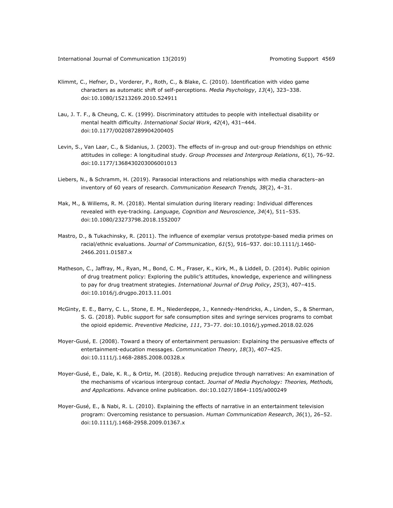- Klimmt, C., Hefner, D., Vorderer, P., Roth, C., & Blake, C. (2010). Identification with video game characters as automatic shift of self-perceptions. *Media Psychology*, *13*(4), 323–338. doi:10.1080/15213269.2010.524911
- Lau, J. T. F., & Cheung, C. K. (1999). Discriminatory attitudes to people with intellectual disability or mental health difficulty. *International Social Work*, *42*(4), 431–444. doi:10.1177/002087289904200405
- Levin, S., Van Laar, C., & Sidanius, J. (2003). The effects of in-group and out-group friendships on ethnic attitudes in college: A longitudinal study. *Group Processes and Intergroup Relations*, *6*(1), 76–92. doi:10.1177/1368430203006001013
- Liebers, N., & Schramm, H. (2019). Parasocial interactions and relationships with media characters–an inventory of 60 years of research. *Communication Research Trends, 38*(2), 4–31.
- Mak, M., & Willems, R. M. (2018). Mental simulation during literary reading: Individual differences revealed with eye-tracking. *Language, Cognition and Neuroscience*, *34*(4), 511–535. doi:10.1080/23273798.2018.1552007
- Mastro, D., & Tukachinsky, R. (2011). The influence of exemplar versus prototype-based media primes on racial/ethnic evaluations. *Journal of Communication*, *61*(5), 916–937. doi:10.1111/j.1460- 2466.2011.01587.x
- Matheson, C., Jaffray, M., Ryan, M., Bond, C. M., Fraser, K., Kirk, M., & Liddell, D. (2014). Public opinion of drug treatment policy: Exploring the public's attitudes, knowledge, experience and willingness to pay for drug treatment strategies. *International Journal of Drug Policy*, *25*(3), 407–415. doi:10.1016/j.drugpo.2013.11.001
- McGinty, E. E., Barry, C. L., Stone, E. M., Niederdeppe, J., Kennedy-Hendricks, A., Linden, S., & Sherman, S. G. (2018). Public support for safe consumption sites and syringe services programs to combat the opioid epidemic. *Preventive Medicine*, *111*, 73–77. doi:10.1016/j.ypmed.2018.02.026
- Moyer-Gusé, E. (2008). Toward a theory of entertainment persuasion: Explaining the persuasive effects of entertainment-education messages. *Communication Theory*, *18*(3), 407–425. doi:10.1111/j.1468-2885.2008.00328.x
- Moyer-Gusé, E., Dale, K. R., & Ortiz, M. (2018). Reducing prejudice through narratives: An examination of the mechanisms of vicarious intergroup contact. *Journal of Media Psychology: Theories, Methods, and Applications*. Advance online publication. doi:10.1027/1864-1105/a000249
- Moyer-Gusé, E., & Nabi, R. L. (2010). Explaining the effects of narrative in an entertainment television program: Overcoming resistance to persuasion. *Human Communication Research*, *36*(1), 26–52. doi:10.1111/j.1468-2958.2009.01367.x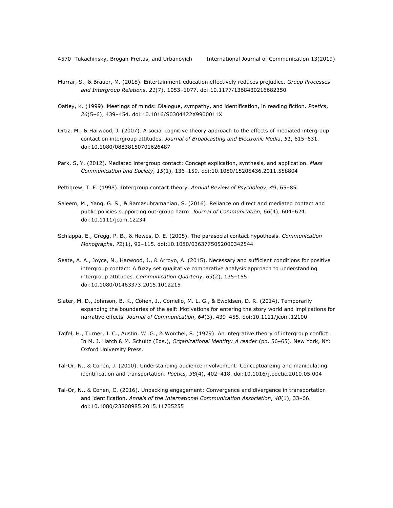- Murrar, S., & Brauer, M. (2018). Entertainment-education effectively reduces prejudice. *Group Processes and Intergroup Relations*, *21*(7), 1053–1077. doi:10.1177/1368430216682350
- Oatley, K. (1999). Meetings of minds: Dialogue, sympathy, and identification, in reading fiction. *Poetics*, *26*(5–6), 439–454. doi:10.1016/S0304422X9900011X
- Ortiz, M., & Harwood, J. (2007). A social cognitive theory approach to the effects of mediated intergroup contact on intergroup attitudes. *Journal of Broadcasting and Electronic Media*, *51*, 615–631. doi:10.1080/08838150701626487
- Park, S, Y. (2012). Mediated intergroup contact: Concept explication, synthesis, and application. *Mass Communication and Society*, *15*(1), 136–159. doi:10.1080/15205436.2011.558804
- Pettigrew, T. F. (1998). Intergroup contact theory. *Annual Review of Psychology*, *49*, 65–85.
- Saleem, M., Yang, G. S., & Ramasubramanian, S. (2016). Reliance on direct and mediated contact and public policies supporting out-group harm. *Journal of Communication*, *66*(4), 604–624. doi:10.1111/jcom.12234
- Schiappa, E., Gregg, P. B., & Hewes, D. E. (2005). The parasocial contact hypothesis. *Communication Monographs*, *72*(1), 92–115. doi:10.1080/0363775052000342544
- Seate, A. A., Joyce, N., Harwood, J., & Arroyo, A. (2015). Necessary and sufficient conditions for positive intergroup contact: A fuzzy set qualitative comparative analysis approach to understanding intergroup attitudes. *Communication Quarterly*, *63*(2), 135–155. doi:10.1080/01463373.2015.1012215
- Slater, M. D., Johnson, B. K., Cohen, J., Comello, M. L. G., & Ewoldsen, D. R. (2014). Temporarily expanding the boundaries of the self: Motivations for entering the story world and implications for narrative effects. *Journal of Communication*, *64*(3), 439–455. doi:10.1111/jcom.12100
- Tajfel, H., Turner, J. C., Austin, W. G., & Worchel, S. (1979). An integrative theory of intergroup conflict. In M. J. Hatch & M. Schultz (Eds.), *Organizational identity: A reader* (pp. 56–65). New York, NY: Oxford University Press.
- Tal-Or, N., & Cohen, J. (2010). Understanding audience involvement: Conceptualizing and manipulating identification and transportation. *Poetics, 38*(4), 402–418. doi:10.1016/j.poetic.2010.05.004
- Tal-Or, N., & Cohen, C. (2016). Unpacking engagement: Convergence and divergence in transportation and identification. *Annals of the International Communication Association*, *40*(1), 33–66. doi:10.1080/23808985.2015.11735255